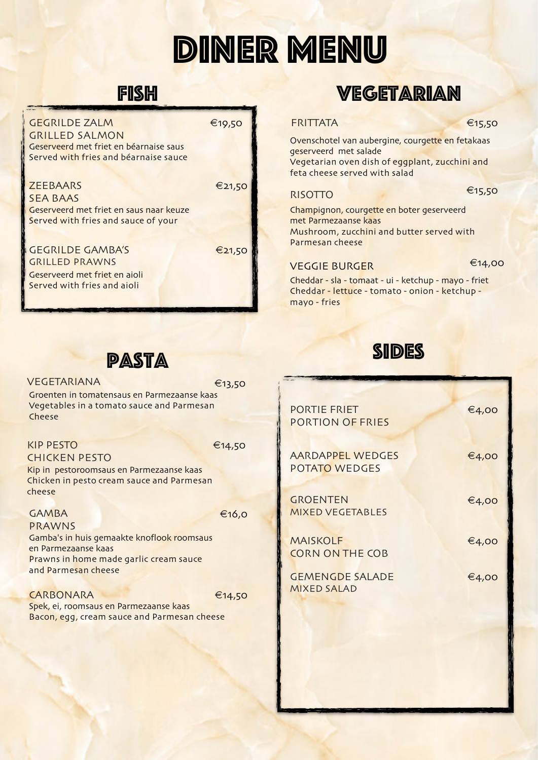# DINER MENU

## **FISH**

Geserveerd met friet en béarnaise saus Served with fries and béarnaise sauce GEGRILDE ZALM GRILLED SALMON

#### **ZEEBAARS**

€21,50

€19,50

SEA BAAS Geserveerd met friet en saus naar keuze Served with fries and sauce of your

GEGRILDE GAMBA'S GRILLED PRAWNS

€21,50

Geserveerd met friet en aioli Served with fries and aioli

#### VEGETARIANA

Groenten in tomatensaus en Parmezaanse kaas Vegetables in a tomato sauce and Parmesan Cheese €13,50

**PASTA** 

#### KIP PESTO CHICKEN PESTO

€14,50

Kip in pestoroomsaus en Parmezaanse kaas Chicken in pesto cream sauce and Parmesan cheese

#### GAMBA

€16,0

Gamba's in huis gemaakte knoflook roomsaus en Parmezaanse kaas Prawns in home made garlic cream sauce and Parmesan cheese PRAWNS

**CARBONARA** Spek, ei, roomsaus en Parmezaanse kaas Bacon, egg, cream sauce and Parmesan cheese €14,50

## **VEGETARIAN**

#### €15,50

Ovenschotel van aubergine, courgette en fetakaas geserveerd met salade Vegetarian oven dish of eggplant, zucchini and feta cheese served with salad

#### RISOTTO

**FRITTATA** 

€15,50

Champignon, courgette en boter geserveerd met Parmezaanse kaas Mushroom, zucchini and butter served with Parmesan cheese

#### VEGGIE BURGER

€14,00

Cheddar - sla - tomaat - ui - ketchup - mayo - friet Cheddar - lettuce - tomato - onion - ketchup mayo - fries



| <b>PORTIE FRIET</b><br><b>PORTION OF FRIES</b> | €4,00 |
|------------------------------------------------|-------|
| <b>AARDAPPEL WEDGES</b><br>POTATO WEDGES       | €4,00 |
| <b>GROENTEN</b><br><b>MIXED VEGETABLES</b>     | €4,00 |
| <b>MAISKOLF</b><br><b>CORN ON THE COB</b>      | €4,00 |
| <b>GEMENGDE SALADE</b><br><b>MIXED SALAD</b>   | €4,00 |
|                                                |       |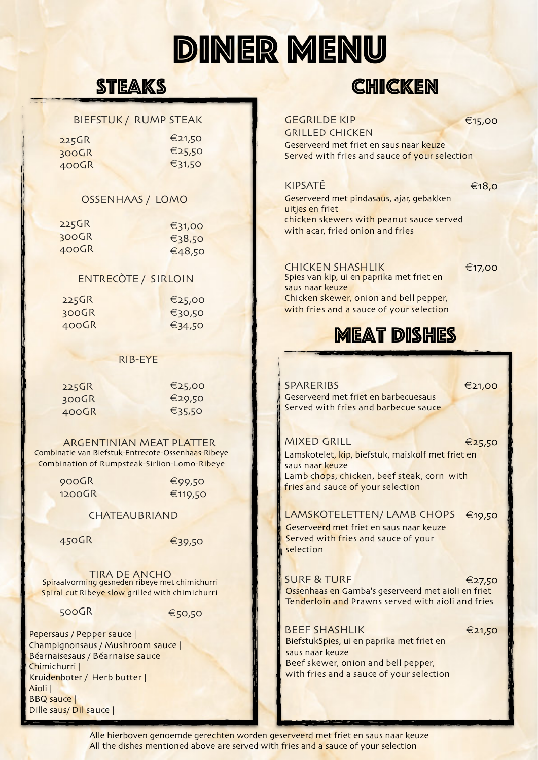# DINER MENU

## **STEAKS**

#### BIEFSTUK / RUMP STEAK

| $225$ GR | €21,50 |
|----------|--------|
| $300$ GR | €25,50 |
| $400$ GR | €31,50 |

#### OSSENHAAS / LOMO

| $225$ GR | $\xi$ 31,00 |
|----------|-------------|
| 300GR    | €38,50      |
| $400$ GR | €48,50      |

#### ENTRECÒTE / SIRLOIN

| $225$ GR | €25,00 |
|----------|--------|
| 300GR    | €30,50 |
| $400$ GR | €34,50 |

#### RIB-EYE

| 225GR | €25,00 |
|-------|--------|
| 300GR | €29,50 |
| 400GR | €35,50 |

Combinatie van Biefstuk-Entrecote-Ossenhaas-Ribeye Combination of Rumpsteak-Sirlion-Lomo-Ribeye ARGENTINIAN MEAT PLATTER

| 900GR  | €99,50  |
|--------|---------|
| 1200GR | €119,50 |

#### CHATEAUBRIAND

450GR <del>€39,50</del>

**Spiraalvorming gesneden ribeye met chimichurri**<br>Spiraalvorming gesneden ribeye met chimichurri Spiral cut Ribeye slow grilled with chimichurri

500GR <del>€</del>50,50

Pepersaus / Pepper sauce | Champignonsaus / Mushroom sauce | Béarnaisesaus / Béarnaise sauce Chimichurri | Kruidenboter / Herb butter | Aioli | BBQ sauce | Dille saus/ Dil sauce |

| <b>GEGRILDE KIP</b><br><b>GRILLED CHICKEN</b><br>Geserveerd met friet en saus naar keuze<br>Served with fries and sauce of your selection                                                           | €15,00 |
|-----------------------------------------------------------------------------------------------------------------------------------------------------------------------------------------------------|--------|
| KIPSATÉ<br>Geserveerd met pindasaus, ajar, gebakken<br>uitjes en friet<br>chicken skewers with peanut sauce served<br>with acar, fried onion and fries                                              | €18,0  |
| <b>CHICKEN SHASHLIK</b><br>Spies van kip, ui en paprika met friet en<br>saus naar keuze<br>Chicken skewer, onion and bell pepper,<br>with fries and a sauce of your selection<br><b>MEAT DISHES</b> | €17,00 |
| <b>SPARERIBS</b><br>Geserveerd met friet en barbecuesaus<br>Served with fries and barbecue sauce                                                                                                    | €21,00 |
|                                                                                                                                                                                                     |        |
| <b>MIXED GRILL</b><br>Lamskotelet, kip, biefstuk, maiskolf met friet en<br>saus naar keuze<br>Lamb chops, chicken, beef steak, corn with<br>fries and sauce of your selection                       | €25,50 |
| LAMSKOTELETTEN/ LAMB CHOPS<br>Geserveerd met friet en saus naar keuze<br>Served with fries and sauce of your<br>selection                                                                           | €19,50 |
| <b>SURF &amp; TURF</b><br>Ossenhaas en Gamba's geserveerd met aioli en friet<br>Tenderloin and Prawns served with aioli and fries                                                                   | €27,50 |

CHICKEN

Beef skewer, onion and bell pepper, with fries and a sauce of your selection

Alle hierboven genoemde gerechten worden geserveerd met friet en saus naar keuze All the dishes mentioned above are served with fries and a sauce of your selection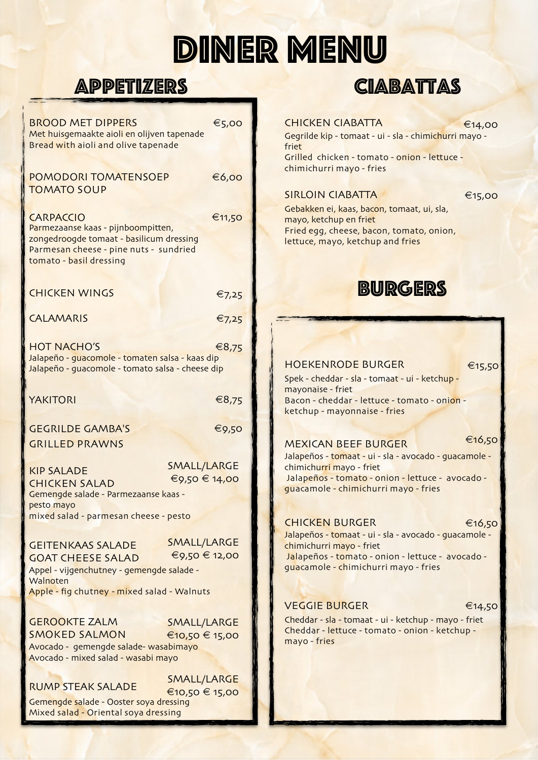# DINER MENU

## **APPETIZERS**

| <b>BROOD MET DIPPERS</b><br>Met huisgemaakte aioli en olijven tapenade<br>Bread with aioli and olive tapenade                                       | €5,00                               |
|-----------------------------------------------------------------------------------------------------------------------------------------------------|-------------------------------------|
| <b>POMODORI TOMATENSOEP</b><br><b>TOMATO SOUP</b>                                                                                                   | €6,00                               |
| <b>CARPACCIO</b>                                                                                                                                    | €11,50                              |
| Parmezaanse kaas - pijnboompitten,<br>zongedroogde tomaat - basilicum dressing<br>Parmesan cheese - pine nuts - sundried<br>tomato - basil dressing |                                     |
| <b>CHICKEN WINGS</b>                                                                                                                                | €7,25                               |
| <b>CALAMARIS</b>                                                                                                                                    | $\epsilon$ 7,25                     |
| <b>HOT NACHO'S</b><br>Jalapeño - guacomole - tomaten salsa - kaas dip<br>Jalapeño - guacomole - tomato salsa - cheese dip                           | €8,75                               |
| <b>YAKITORI</b>                                                                                                                                     | €8,75                               |
| <b>GEGRILDE GAMBA'S</b><br><b>GRILLED PRAWNS</b>                                                                                                    | €9,50                               |
| <b>KIP SALADE</b><br><b>CHICKEN SALAD</b><br>Gemengde salade - Parmezaanse kaas -                                                                   | <b>SMALL/LARGE</b><br>€9,50 € 14,00 |
| pesto mayo<br>mixed salad - parmesan cheese - pesto                                                                                                 |                                     |
| <b>GEITENKAAS SALADE</b><br><b>GOAT CHEESE SALAD</b><br>Appel - vijgenchutney - gemengde salade -<br>Walnoten                                       | SMALL/LARGE<br>€9,50 € 12,00        |
| Apple - fig chutney - mixed salad - Walnuts                                                                                                         |                                     |
| <b>GEROOKTE ZALM</b>                                                                                                                                | SMALL/LARGE                         |
| <b>SMOKED SALMON</b><br>Avocado - gemengde salade- wasabimayo<br>Avocado - mixed salad - wasabi mayo                                                | €10,50 € 15,00                      |
|                                                                                                                                                     | <b>SMALL/LARGE</b>                  |
| <b>RUMP STEAK SALADE</b><br>Gemengde salade - Ooster soya dressing                                                                                  | €10,50 € 15,00                      |
|                                                                                                                                                     |                                     |

## **CIABATTAS**

#### CHICKEN CIABATTA

Gegrilde kip - tomaat - ui - sla - chimichurri mayo friet Grilled chicken - tomato - onion - lettuce - €14,00

#### SIRLOIN CIABATTA

chimichurri mayo - fries

€15,00

Gebakken ei, kaas, bacon, tomaat, ui, sla, mayo, ketchup en friet Fried egg, cheese, bacon, tomato, onion, lettuce, mayo, ketchup and fries



#### HOEKENRODE BURGER

€15,50

Spek - cheddar - sla - tomaat - ui - ketchup mayonaise - friet Bacon - cheddar - lettuce - tomato - onion ketchup - mayonnaise - fries

#### MEXICAN BEEF BURGER

€16,50

Jalapeños - tomaat - ui - sla - avocado - guacamole chimichurri mayo - friet Jalapeños - tomato - onion - lettuce - avocado guacamole - chimichurri mayo - fries

#### CHICKEN BURGER

#### €16,50

Jalapeños - tomaat - ui - sla - avocado - guacamole chimichurri mayo - friet Jalapeños - tomato - onion - lettuce - avocado guacamole - chimichurri mayo - fries

### VEGGIE BURGER

€14,50

Cheddar - sla - tomaat - ui - ketchup - mayo - friet Cheddar - lettuce - tomato - onion - ketchup mayo - fries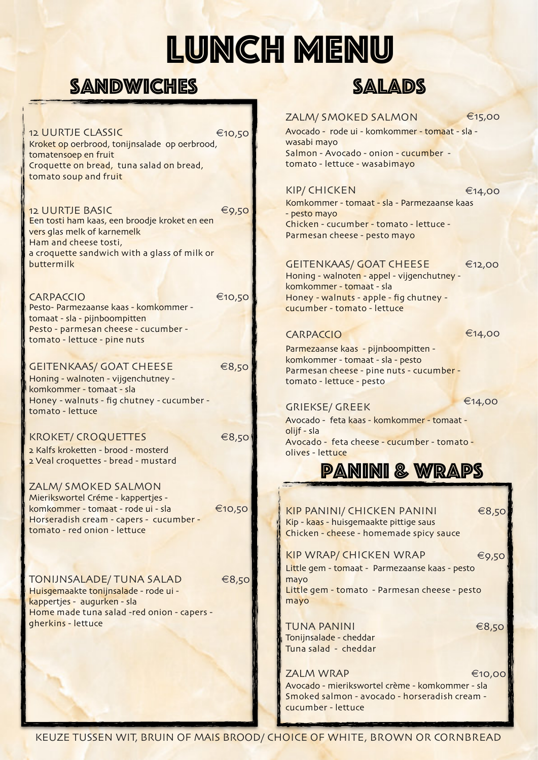# LUNCH MENU

## SANDWICHES SALADS

12 UURTJE CLASSIC

Kroket op oerbrood, tonijnsalade op oerbrood, tomatensoep en fruit Croquette on bread, tuna salad on bread, tomato soup and fruit €10,50

12 UURTJE BASIC Een tosti ham kaas, een broodje kroket en een vers glas melk of karnemelk Ham and cheese tosti, a croquette sandwich with a glass of milk or buttermilk €9,50

Pesto- Parmezaanse kaas - komkommer tomaat - sla - pijnboompitten Pesto - parmesan cheese - cucumber tomato - lettuce - pine nuts CARPACCIO €10,50

#### GEITENKAAS/ GOAT CHEESE

Honing - walnoten - vijgenchutney komkommer - tomaat - sla Honey - walnuts - fig chutney - cucumber tomato - lettuce

### KROKET/ CROQUETTES

2 Kalfs kroketten - brood - mosterd 2 Veal croquettes - bread - mustard

ZALM/ SMOKED SALMON Mierikswortel Créme - kappertjes komkommer - tomaat - rode ui - sla Horseradish cream - capers - cucumber tomato - red onion - lettuce €10,50

Huisgemaakte tonijnsalade - rode ui kappertjes - augurken - sla Home made tuna salad -red onion - capers gherkins - lettuce TONIJNSALADE/ TUNA SALAD

€8,50

€8,50

€8,50



#### ZALM/ SMOKED SALMON

€15,00

€14,00

Avocado - rode ui - komkommer - tomaat - sla wasabi mayo Salmon - Avocado - onion - cucumber tomato - lettuce - wasabimayo

#### KIP/ CHICKEN

Komkommer - tomaat - sla - Parmezaanse kaas - pesto mayo Chicken - cucumber - tomato - lettuce - Parmesan cheese - pesto mayo

#### GEITENKAAS/ GOAT CHEESE

Honing - walnoten - appel - vijgenchutney komkommer - tomaat - sla Honey - walnuts - apple - fig chutney cucumber - tomato - lettuce

#### CARPACCIO

€14,00

€12,00

Parmezaanse kaas - pijnboompitten komkommer - tomaat - sla - pesto Parmesan cheese - pine nuts - cucumber tomato - lettuce - pesto

### GRIEKSE/ GREEK

€14,00

Avocado - feta kaas - komkommer - tomaat olijf - sla Avocado - feta cheese - cucumber - tomato olives - lettuce

## Panini & Wraps

Kip - kaas - huisgemaakte pittige saus Chicken - cheese - homemade spicy sauce KIP PANINI/ CHICKEN PANINI

KIP WRAP/ CHICKEN WRAP Little gem - tomaat - Parmezaanse kaas - pesto mayo Little gem - tomato - Parmesan cheese - pesto mayo €9,50

TUNA PANINI Tonijnsalade - cheddar Tuna salad - cheddar €8,50

€8,50

Avocado - mierikswortel crème - komkommer - sla Smoked salmon - avocado - horseradish cream cucumber - lettuce **ZALM WRAP** €10,00